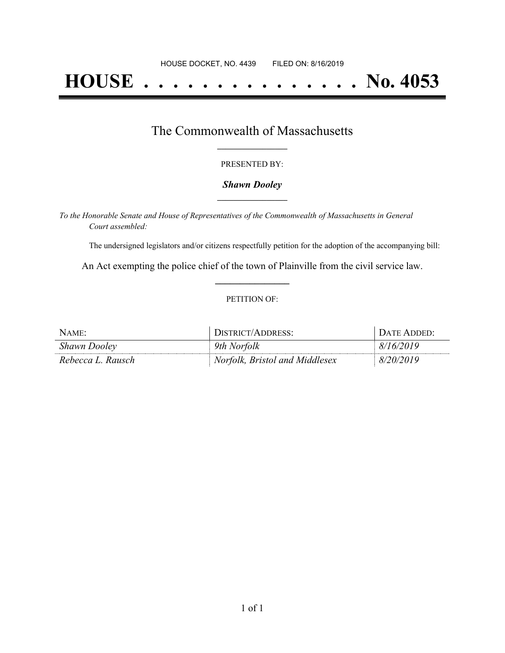# **HOUSE . . . . . . . . . . . . . . . No. 4053**

### The Commonwealth of Massachusetts **\_\_\_\_\_\_\_\_\_\_\_\_\_\_\_\_\_**

#### PRESENTED BY:

#### *Shawn Dooley* **\_\_\_\_\_\_\_\_\_\_\_\_\_\_\_\_\_**

*To the Honorable Senate and House of Representatives of the Commonwealth of Massachusetts in General Court assembled:*

The undersigned legislators and/or citizens respectfully petition for the adoption of the accompanying bill:

An Act exempting the police chief of the town of Plainville from the civil service law. **\_\_\_\_\_\_\_\_\_\_\_\_\_\_\_**

#### PETITION OF:

| NAME:             | DISTRICT/ADDRESS:              | DATE ADDED: |
|-------------------|--------------------------------|-------------|
| Shawn Dooley      | 9th Norfolk                    | 8/16/2019   |
| Rebecca L. Rausch | Norfolk, Bristol and Middlesex | 8/20/2019   |